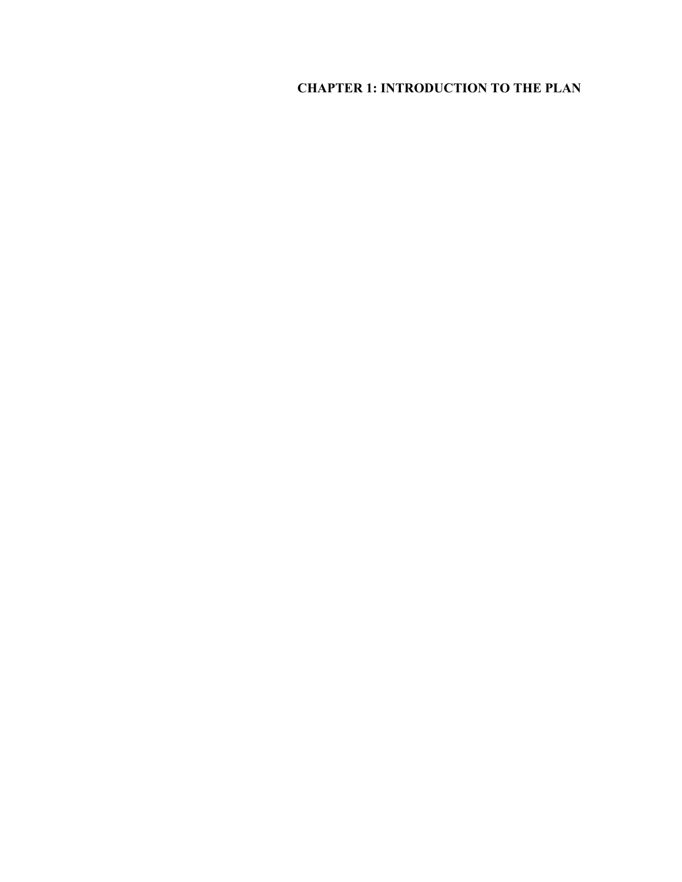# **CHAPTER 1: INTRODUCTION TO THE PLAN**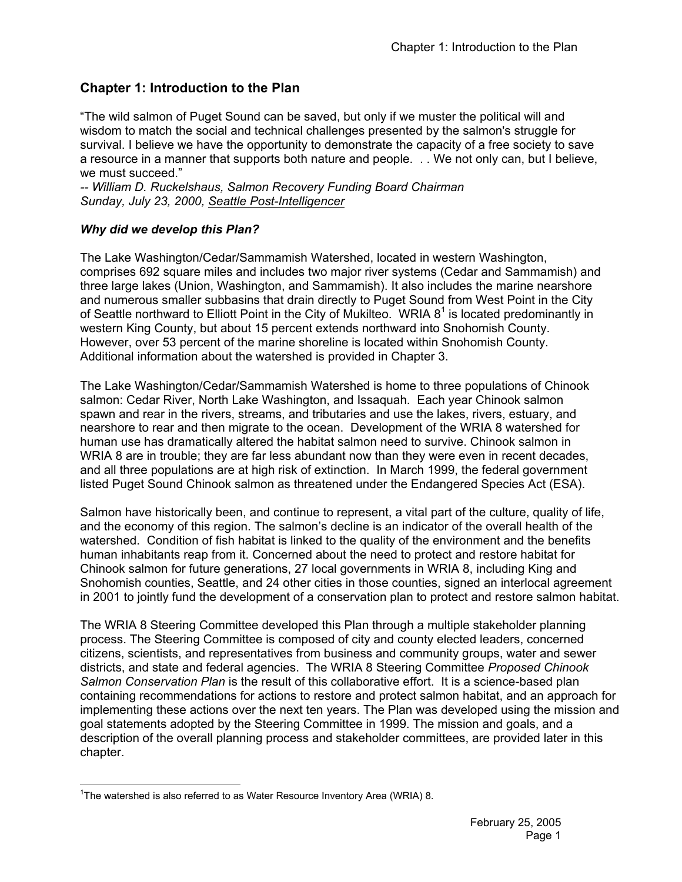# **Chapter 1: Introduction to the Plan**

"The wild salmon of Puget Sound can be saved, but only if we muster the political will and wisdom to match the social and technical challenges presented by the salmon's struggle for survival. I believe we have the opportunity to demonstrate the capacity of a free society to save a resource in a manner that supports both nature and people. . . We not only can, but I believe, we must succeed."

*-- William D. Ruckelshaus, Salmon Recovery Funding Board Chairman Sunday, July 23, 2000, Seattle Post-Intelligencer*

# *Why did we develop this Plan?*

The Lake Washington/Cedar/Sammamish Watershed, located in western Washington, comprises 692 square miles and includes two major river systems (Cedar and Sammamish) and three large lakes (Union, Washington, and Sammamish). It also includes the marine nearshore and numerous smaller subbasins that drain directly to Puget Sound from West Point in the City of Seattle northward to Elliott Point in the City of Mukilteo. WRIA  $8^1$  is located predominantly in western King County, but about 15 percent extends northward into Snohomish County. However, over 53 percent of the marine shoreline is located within Snohomish County. Additional information about the watershed is provided in Chapter 3.

The Lake Washington/Cedar/Sammamish Watershed is home to three populations of Chinook salmon: Cedar River, North Lake Washington, and Issaquah. Each year Chinook salmon spawn and rear in the rivers, streams, and tributaries and use the lakes, rivers, estuary, and nearshore to rear and then migrate to the ocean. Development of the WRIA 8 watershed for human use has dramatically altered the habitat salmon need to survive. Chinook salmon in WRIA 8 are in trouble; they are far less abundant now than they were even in recent decades, and all three populations are at high risk of extinction. In March 1999, the federal government listed Puget Sound Chinook salmon as threatened under the Endangered Species Act (ESA).

Salmon have historically been, and continue to represent, a vital part of the culture, quality of life, and the economy of this region. The salmon's decline is an indicator of the overall health of the watershed. Condition of fish habitat is linked to the quality of the environment and the benefits human inhabitants reap from it. Concerned about the need to protect and restore habitat for Chinook salmon for future generations, 27 local governments in WRIA 8, including King and Snohomish counties, Seattle, and 24 other cities in those counties, signed an interlocal agreement in 2001 to jointly fund the development of a conservation plan to protect and restore salmon habitat.

The WRIA 8 Steering Committee developed this Plan through a multiple stakeholder planning process. The Steering Committee is composed of city and county elected leaders, concerned citizens, scientists, and representatives from business and community groups, water and sewer districts, and state and federal agencies. The WRIA 8 Steering Committee *Proposed Chinook Salmon Conservation Plan* is the result of this collaborative effort. It is a science-based plan containing recommendations for actions to restore and protect salmon habitat, and an approach for implementing these actions over the next ten years. The Plan was developed using the mission and goal statements adopted by the Steering Committee in 1999. The mission and goals, and a description of the overall planning process and stakeholder committees, are provided later in this chapter.

 $\overline{a}$ <sup>1</sup>The watershed is also referred to as Water Resource Inventory Area (WRIA) 8.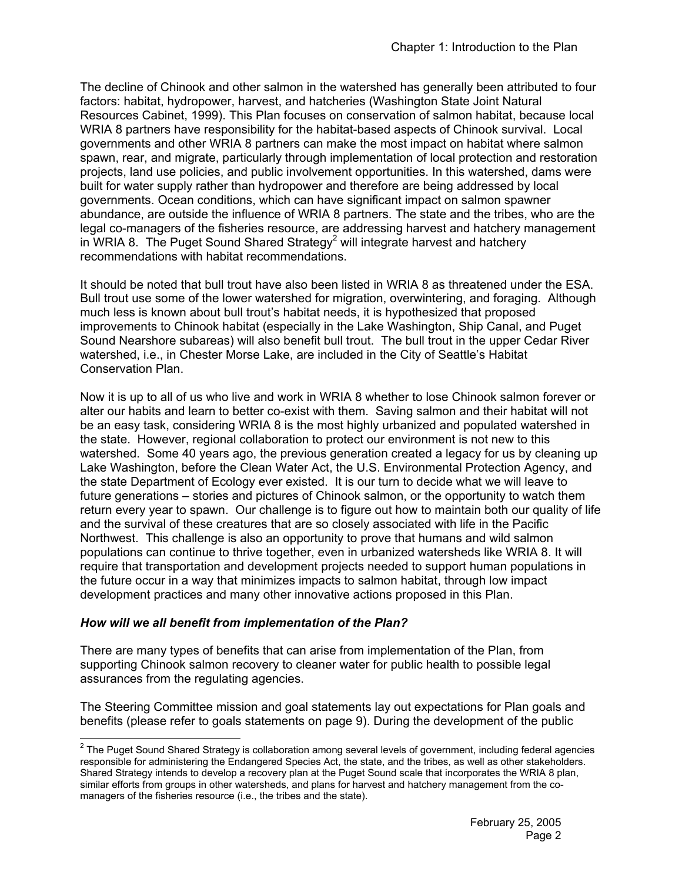The decline of Chinook and other salmon in the watershed has generally been attributed to four factors: habitat, hydropower, harvest, and hatcheries (Washington State Joint Natural Resources Cabinet, 1999). This Plan focuses on conservation of salmon habitat, because local WRIA 8 partners have responsibility for the habitat-based aspects of Chinook survival. Local governments and other WRIA 8 partners can make the most impact on habitat where salmon spawn, rear, and migrate, particularly through implementation of local protection and restoration projects, land use policies, and public involvement opportunities. In this watershed, dams were built for water supply rather than hydropower and therefore are being addressed by local governments. Ocean conditions, which can have significant impact on salmon spawner abundance, are outside the influence of WRIA 8 partners. The state and the tribes, who are the legal co-managers of the fisheries resource, are addressing harvest and hatchery management in WRIA 8. The Puget Sound Shared Strategy<sup>2</sup> will integrate harvest and hatchery recommendations with habitat recommendations.

It should be noted that bull trout have also been listed in WRIA 8 as threatened under the ESA. Bull trout use some of the lower watershed for migration, overwintering, and foraging. Although much less is known about bull trout's habitat needs, it is hypothesized that proposed improvements to Chinook habitat (especially in the Lake Washington, Ship Canal, and Puget Sound Nearshore subareas) will also benefit bull trout. The bull trout in the upper Cedar River watershed, i.e., in Chester Morse Lake, are included in the City of Seattle's Habitat Conservation Plan.

Now it is up to all of us who live and work in WRIA 8 whether to lose Chinook salmon forever or alter our habits and learn to better co-exist with them. Saving salmon and their habitat will not be an easy task, considering WRIA 8 is the most highly urbanized and populated watershed in the state. However, regional collaboration to protect our environment is not new to this watershed. Some 40 years ago, the previous generation created a legacy for us by cleaning up Lake Washington, before the Clean Water Act, the U.S. Environmental Protection Agency, and the state Department of Ecology ever existed. It is our turn to decide what we will leave to future generations – stories and pictures of Chinook salmon, or the opportunity to watch them return every year to spawn. Our challenge is to figure out how to maintain both our quality of life and the survival of these creatures that are so closely associated with life in the Pacific Northwest. This challenge is also an opportunity to prove that humans and wild salmon populations can continue to thrive together, even in urbanized watersheds like WRIA 8. It will require that transportation and development projects needed to support human populations in the future occur in a way that minimizes impacts to salmon habitat, through low impact development practices and many other innovative actions proposed in this Plan.

# *How will we all benefit from implementation of the Plan?*

 $\overline{a}$ 

There are many types of benefits that can arise from implementation of the Plan, from supporting Chinook salmon recovery to cleaner water for public health to possible legal assurances from the regulating agencies.

The Steering Committee mission and goal statements lay out expectations for Plan goals and benefits (please refer to goals statements on page 9). During the development of the public

 $2$  The Puget Sound Shared Strategy is collaboration among several levels of government, including federal agencies responsible for administering the Endangered Species Act, the state, and the tribes, as well as other stakeholders. Shared Strategy intends to develop a recovery plan at the Puget Sound scale that incorporates the WRIA 8 plan, similar efforts from groups in other watersheds, and plans for harvest and hatchery management from the comanagers of the fisheries resource (i.e., the tribes and the state).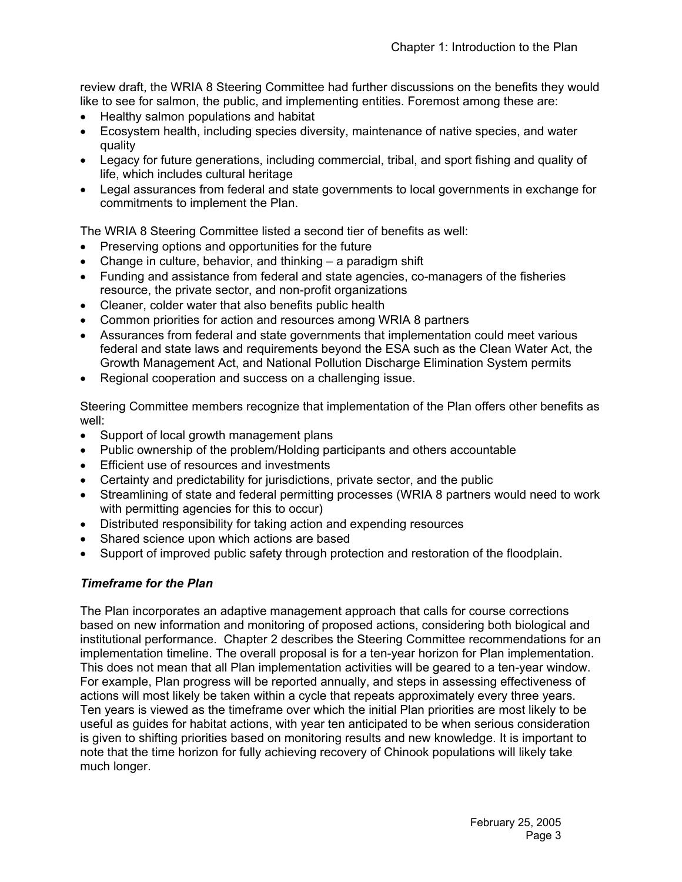review draft, the WRIA 8 Steering Committee had further discussions on the benefits they would like to see for salmon, the public, and implementing entities. Foremost among these are:

- Healthy salmon populations and habitat
- Ecosystem health, including species diversity, maintenance of native species, and water quality
- Legacy for future generations, including commercial, tribal, and sport fishing and quality of life, which includes cultural heritage
- Legal assurances from federal and state governments to local governments in exchange for commitments to implement the Plan.

The WRIA 8 Steering Committee listed a second tier of benefits as well:

- Preserving options and opportunities for the future
- Change in culture, behavior, and thinking  $-$  a paradigm shift
- Funding and assistance from federal and state agencies, co-managers of the fisheries resource, the private sector, and non-profit organizations
- Cleaner, colder water that also benefits public health
- Common priorities for action and resources among WRIA 8 partners
- Assurances from federal and state governments that implementation could meet various federal and state laws and requirements beyond the ESA such as the Clean Water Act, the Growth Management Act, and National Pollution Discharge Elimination System permits
- Regional cooperation and success on a challenging issue.

Steering Committee members recognize that implementation of the Plan offers other benefits as well:

- Support of local growth management plans
- Public ownership of the problem/Holding participants and others accountable
- Efficient use of resources and investments
- Certainty and predictability for jurisdictions, private sector, and the public
- Streamlining of state and federal permitting processes (WRIA 8 partners would need to work with permitting agencies for this to occur)
- Distributed responsibility for taking action and expending resources
- Shared science upon which actions are based
- Support of improved public safety through protection and restoration of the floodplain.

# *Timeframe for the Plan*

The Plan incorporates an adaptive management approach that calls for course corrections based on new information and monitoring of proposed actions, considering both biological and institutional performance. Chapter 2 describes the Steering Committee recommendations for an implementation timeline. The overall proposal is for a ten-year horizon for Plan implementation. This does not mean that all Plan implementation activities will be geared to a ten-year window. For example, Plan progress will be reported annually, and steps in assessing effectiveness of actions will most likely be taken within a cycle that repeats approximately every three years. Ten years is viewed as the timeframe over which the initial Plan priorities are most likely to be useful as guides for habitat actions, with year ten anticipated to be when serious consideration is given to shifting priorities based on monitoring results and new knowledge. It is important to note that the time horizon for fully achieving recovery of Chinook populations will likely take much longer.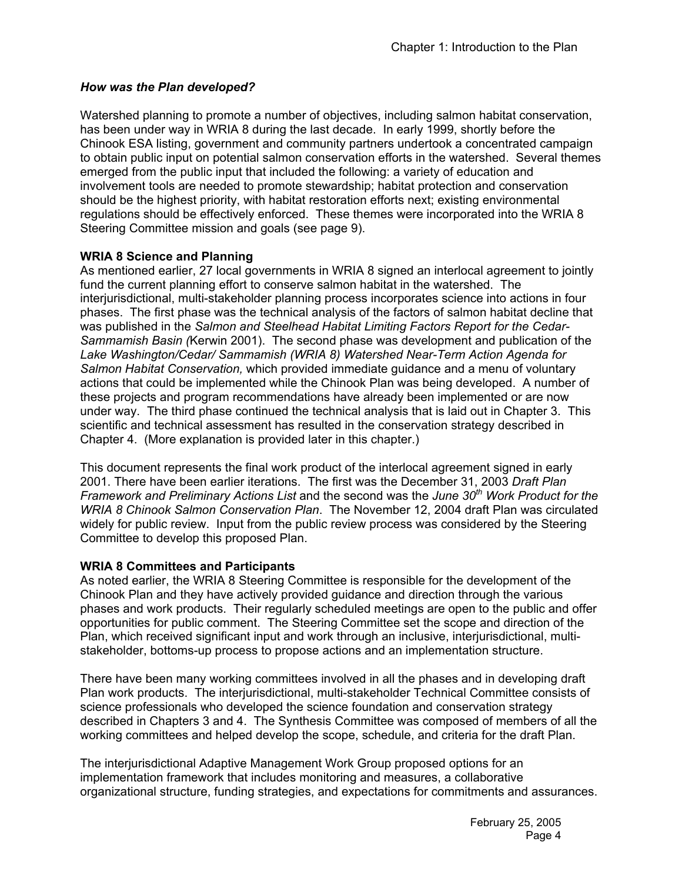# *How was the Plan developed?*

Watershed planning to promote a number of objectives, including salmon habitat conservation, has been under way in WRIA 8 during the last decade. In early 1999, shortly before the Chinook ESA listing, government and community partners undertook a concentrated campaign to obtain public input on potential salmon conservation efforts in the watershed. Several themes emerged from the public input that included the following: a variety of education and involvement tools are needed to promote stewardship; habitat protection and conservation should be the highest priority, with habitat restoration efforts next; existing environmental regulations should be effectively enforced. These themes were incorporated into the WRIA 8 Steering Committee mission and goals (see page 9).

# **WRIA 8 Science and Planning**

As mentioned earlier, 27 local governments in WRIA 8 signed an interlocal agreement to jointly fund the current planning effort to conserve salmon habitat in the watershed. The interjurisdictional, multi-stakeholder planning process incorporates science into actions in four phases. The first phase was the technical analysis of the factors of salmon habitat decline that was published in the *Salmon and Steelhead Habitat Limiting Factors Report for the Cedar-Sammamish Basin (*Kerwin 2001). The second phase was development and publication of the *Lake Washington/Cedar/ Sammamish (WRIA 8) Watershed Near-Term Action Agenda for Salmon Habitat Conservation,* which provided immediate guidance and a menu of voluntary actions that could be implemented while the Chinook Plan was being developed. A number of these projects and program recommendations have already been implemented or are now under way. The third phase continued the technical analysis that is laid out in Chapter 3. This scientific and technical assessment has resulted in the conservation strategy described in Chapter 4. (More explanation is provided later in this chapter.)

This document represents the final work product of the interlocal agreement signed in early 2001. There have been earlier iterations. The first was the December 31, 2003 *Draft Plan Framework and Preliminary Actions List* and the second was the *June 30th Work Product for the WRIA 8 Chinook Salmon Conservation Plan*. The November 12, 2004 draft Plan was circulated widely for public review. Input from the public review process was considered by the Steering Committee to develop this proposed Plan.

# **WRIA 8 Committees and Participants**

As noted earlier, the WRIA 8 Steering Committee is responsible for the development of the Chinook Plan and they have actively provided guidance and direction through the various phases and work products. Their regularly scheduled meetings are open to the public and offer opportunities for public comment. The Steering Committee set the scope and direction of the Plan, which received significant input and work through an inclusive, interjurisdictional, multistakeholder, bottoms-up process to propose actions and an implementation structure.

There have been many working committees involved in all the phases and in developing draft Plan work products. The interjurisdictional, multi-stakeholder Technical Committee consists of science professionals who developed the science foundation and conservation strategy described in Chapters 3 and 4. The Synthesis Committee was composed of members of all the working committees and helped develop the scope, schedule, and criteria for the draft Plan.

The interjurisdictional Adaptive Management Work Group proposed options for an implementation framework that includes monitoring and measures, a collaborative organizational structure, funding strategies, and expectations for commitments and assurances.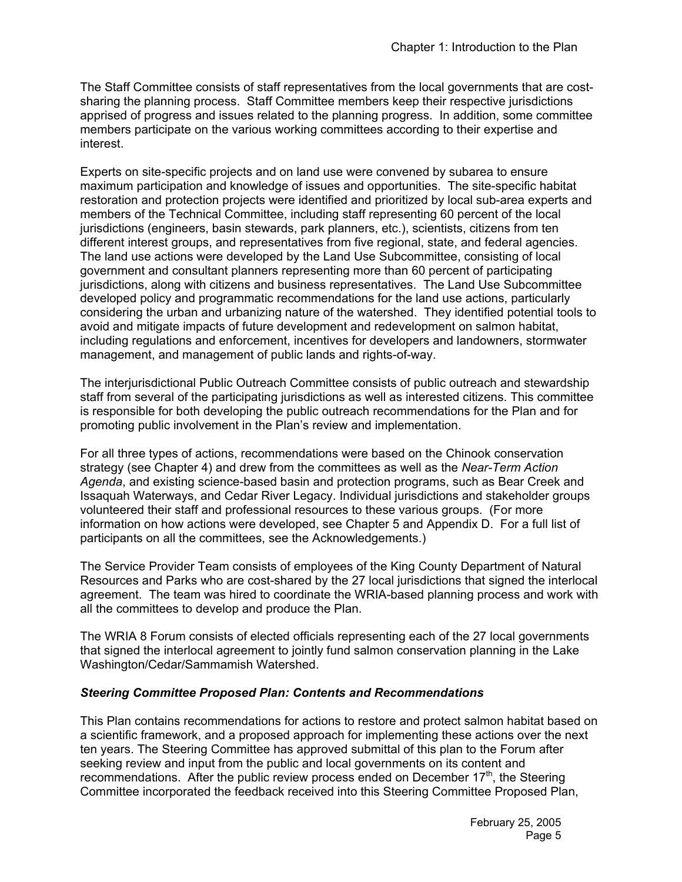The Staff Committee consists of staff representatives from the local governments that are costsharing the planning process. Staff Committee members keep their respective jurisdictions apprised of progress and issues related to the planning progress. In addition, some committee members participate on the various working committees according to their expertise and interest.

Experts on site-specific projects and on land use were convened by subarea to ensure maximum participation and knowledge of issues and opportunities. The site-specific habitat restoration and protection projects were identified and prioritized by local sub-area experts and members of the Technical Committee, including staff representing 60 percent of the local jurisdictions (engineers, basin stewards, park planners, etc.), scientists, citizens from ten different interest groups, and representatives from five regional, state, and federal agencies. The land use actions were developed by the Land Use Subcommittee, consisting of local government and consultant planners representing more than 60 percent of participating jurisdictions, along with citizens and business representatives. The Land Use Subcommittee developed policy and programmatic recommendations for the land use actions, particularly considering the urban and urbanizing nature of the watershed. They identified potential tools to avoid and mitigate impacts of future development and redevelopment on salmon habitat, including regulations and enforcement, incentives for developers and landowners, stormwater management, and management of public lands and rights-of-way.

The interjurisdictional Public Outreach Committee consists of public outreach and stewardship staff from several of the participating jurisdictions as well as interested citizens. This committee is responsible for both developing the public outreach recommendations for the Plan and for promoting public involvement in the Plan's review and implementation.

For all three types of actions, recommendations were based on the Chinook conservation strategy (see Chapter 4) and drew from the committees as well as the *Near-Term Action Agenda*, and existing science-based basin and protection programs, such as Bear Creek and Issaquah Waterways, and Cedar River Legacy. Individual jurisdictions and stakeholder groups volunteered their staff and professional resources to these various groups. (For more information on how actions were developed, see Chapter 5 and Appendix D. For a full list of participants on all the committees, see the Acknowledgements.)

The Service Provider Team consists of employees of the King County Department of Natural Resources and Parks who are cost-shared by the 27 local jurisdictions that signed the interlocal agreement. The team was hired to coordinate the WRIA-based planning process and work with all the committees to develop and produce the Plan.

The WRIA 8 Forum consists of elected officials representing each of the 27 local governments that signed the interlocal agreement to jointly fund salmon conservation planning in the Lake Washington/Cedar/Sammamish Watershed.

# *Steering Committee Proposed Plan: Contents and Recommendations*

This Plan contains recommendations for actions to restore and protect salmon habitat based on a scientific framework, and a proposed approach for implementing these actions over the next ten years. The Steering Committee has approved submittal of this plan to the Forum after seeking review and input from the public and local governments on its content and recommendations. After the public review process ended on December 17<sup>th</sup>, the Steering Committee incorporated the feedback received into this Steering Committee Proposed Plan,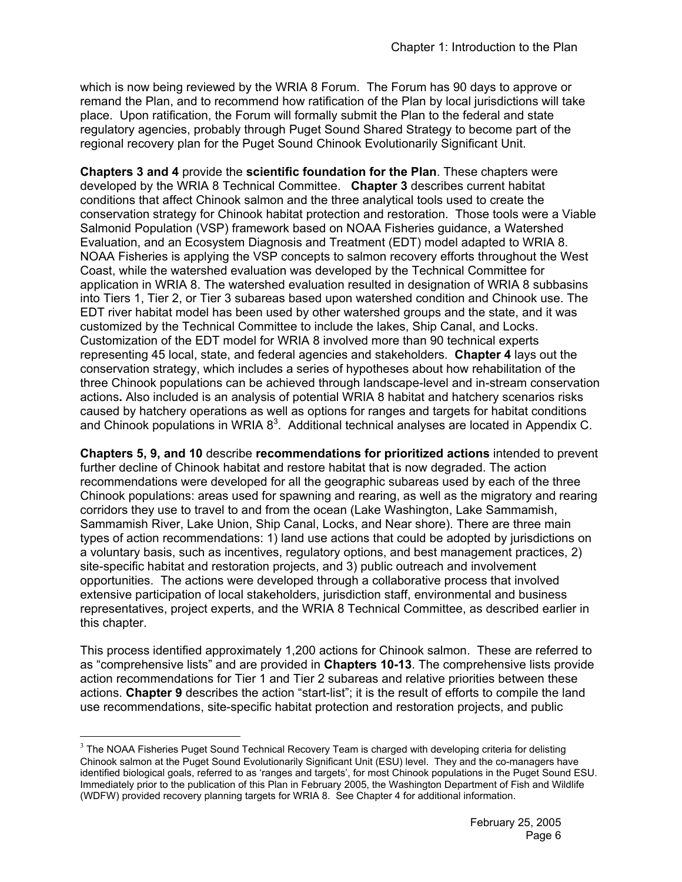which is now being reviewed by the WRIA 8 Forum. The Forum has 90 days to approve or remand the Plan, and to recommend how ratification of the Plan by local jurisdictions will take place. Upon ratification, the Forum will formally submit the Plan to the federal and state regulatory agencies, probably through Puget Sound Shared Strategy to become part of the regional recovery plan for the Puget Sound Chinook Evolutionarily Significant Unit.

**Chapters 3 and 4** provide the **scientific foundation for the Plan**. These chapters were developed by the WRIA 8 Technical Committee. **Chapter 3** describes current habitat conditions that affect Chinook salmon and the three analytical tools used to create the conservation strategy for Chinook habitat protection and restoration. Those tools were a Viable Salmonid Population (VSP) framework based on NOAA Fisheries guidance, a Watershed Evaluation, and an Ecosystem Diagnosis and Treatment (EDT) model adapted to WRIA 8. NOAA Fisheries is applying the VSP concepts to salmon recovery efforts throughout the West Coast, while the watershed evaluation was developed by the Technical Committee for application in WRIA 8. The watershed evaluation resulted in designation of WRIA 8 subbasins into Tiers 1, Tier 2, or Tier 3 subareas based upon watershed condition and Chinook use. The EDT river habitat model has been used by other watershed groups and the state, and it was customized by the Technical Committee to include the lakes, Ship Canal, and Locks. Customization of the EDT model for WRIA 8 involved more than 90 technical experts representing 45 local, state, and federal agencies and stakeholders. **Chapter 4** lays out the conservation strategy, which includes a series of hypotheses about how rehabilitation of the three Chinook populations can be achieved through landscape-level and in-stream conservation actions**.** Also included is an analysis of potential WRIA 8 habitat and hatchery scenarios risks caused by hatchery operations as well as options for ranges and targets for habitat conditions and Chinook populations in WRIA  $8<sup>3</sup>$ . Additional technical analyses are located in Appendix C.

**Chapters 5, 9, and 10** describe **recommendations for prioritized actions** intended to prevent further decline of Chinook habitat and restore habitat that is now degraded. The action recommendations were developed for all the geographic subareas used by each of the three Chinook populations: areas used for spawning and rearing, as well as the migratory and rearing corridors they use to travel to and from the ocean (Lake Washington, Lake Sammamish, Sammamish River, Lake Union, Ship Canal, Locks, and Near shore). There are three main types of action recommendations: 1) land use actions that could be adopted by jurisdictions on a voluntary basis, such as incentives, regulatory options, and best management practices, 2) site-specific habitat and restoration projects, and 3) public outreach and involvement opportunities. The actions were developed through a collaborative process that involved extensive participation of local stakeholders, jurisdiction staff, environmental and business representatives, project experts, and the WRIA 8 Technical Committee, as described earlier in this chapter.

This process identified approximately 1,200 actions for Chinook salmon. These are referred to as "comprehensive lists" and are provided in **Chapters 10-13**. The comprehensive lists provide action recommendations for Tier 1 and Tier 2 subareas and relative priorities between these actions. **Chapter 9** describes the action "start-list"; it is the result of efforts to compile the land use recommendations, site-specific habitat protection and restoration projects, and public

 $\overline{a}$ 

 $3$  The NOAA Fisheries Puget Sound Technical Recovery Team is charged with developing criteria for delisting Chinook salmon at the Puget Sound Evolutionarily Significant Unit (ESU) level. They and the co-managers have identified biological goals, referred to as 'ranges and targets', for most Chinook populations in the Puget Sound ESU. Immediately prior to the publication of this Plan in February 2005, the Washington Department of Fish and Wildlife (WDFW) provided recovery planning targets for WRIA 8. See Chapter 4 for additional information.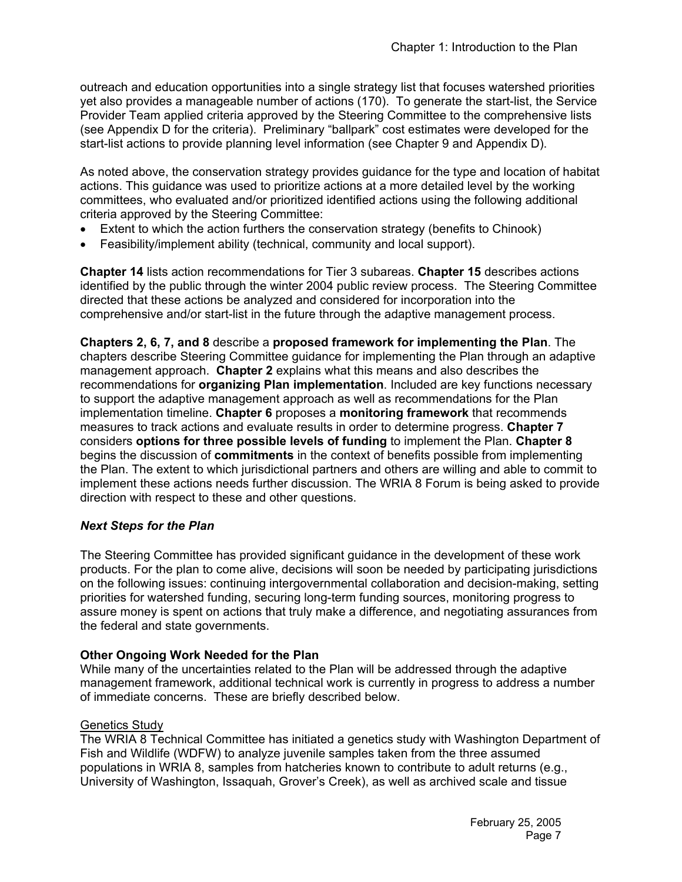outreach and education opportunities into a single strategy list that focuses watershed priorities yet also provides a manageable number of actions (170). To generate the start-list, the Service Provider Team applied criteria approved by the Steering Committee to the comprehensive lists (see Appendix D for the criteria). Preliminary "ballpark" cost estimates were developed for the start-list actions to provide planning level information (see Chapter 9 and Appendix D).

As noted above, the conservation strategy provides guidance for the type and location of habitat actions. This guidance was used to prioritize actions at a more detailed level by the working committees, who evaluated and/or prioritized identified actions using the following additional criteria approved by the Steering Committee:

- Extent to which the action furthers the conservation strategy (benefits to Chinook)
- Feasibility/implement ability (technical, community and local support).

**Chapter 14** lists action recommendations for Tier 3 subareas. **Chapter 15** describes actions identified by the public through the winter 2004 public review process. The Steering Committee directed that these actions be analyzed and considered for incorporation into the comprehensive and/or start-list in the future through the adaptive management process.

**Chapters 2, 6, 7, and 8** describe a **proposed framework for implementing the Plan**. The chapters describe Steering Committee guidance for implementing the Plan through an adaptive management approach. **Chapter 2** explains what this means and also describes the recommendations for **organizing Plan implementation**. Included are key functions necessary to support the adaptive management approach as well as recommendations for the Plan implementation timeline. **Chapter 6** proposes a **monitoring framework** that recommends measures to track actions and evaluate results in order to determine progress. **Chapter 7** considers **options for three possible levels of funding** to implement the Plan. **Chapter 8** begins the discussion of **commitments** in the context of benefits possible from implementing the Plan. The extent to which jurisdictional partners and others are willing and able to commit to implement these actions needs further discussion. The WRIA 8 Forum is being asked to provide direction with respect to these and other questions.

#### *Next Steps for the Plan*

The Steering Committee has provided significant guidance in the development of these work products. For the plan to come alive, decisions will soon be needed by participating jurisdictions on the following issues: continuing intergovernmental collaboration and decision-making, setting priorities for watershed funding, securing long-term funding sources, monitoring progress to assure money is spent on actions that truly make a difference, and negotiating assurances from the federal and state governments.

# **Other Ongoing Work Needed for the Plan**

While many of the uncertainties related to the Plan will be addressed through the adaptive management framework, additional technical work is currently in progress to address a number of immediate concerns. These are briefly described below.

#### Genetics Study

The WRIA 8 Technical Committee has initiated a genetics study with Washington Department of Fish and Wildlife (WDFW) to analyze juvenile samples taken from the three assumed populations in WRIA 8, samples from hatcheries known to contribute to adult returns (e.g., University of Washington, Issaquah, Grover's Creek), as well as archived scale and tissue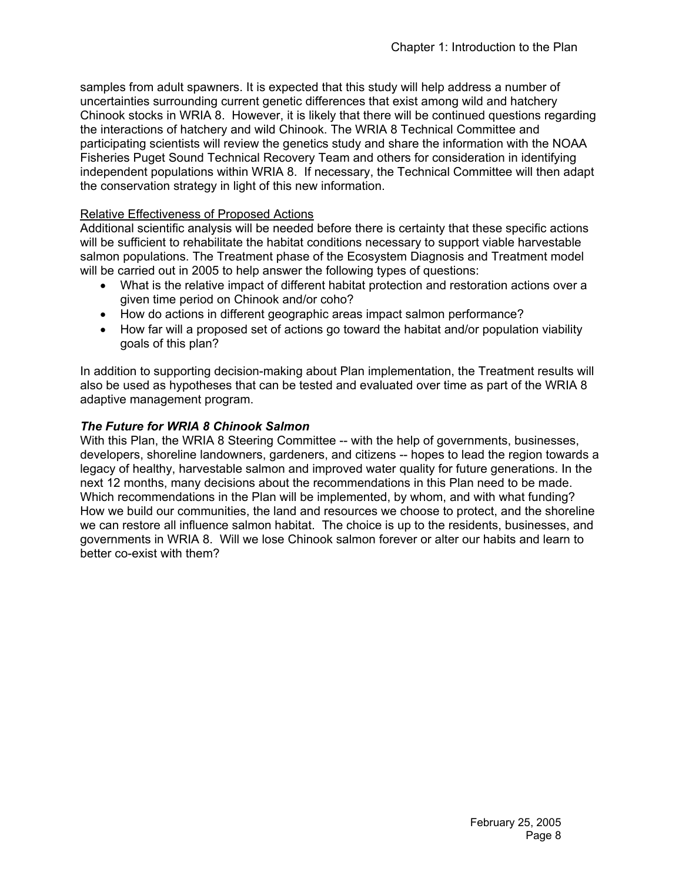samples from adult spawners. It is expected that this study will help address a number of uncertainties surrounding current genetic differences that exist among wild and hatchery Chinook stocks in WRIA 8. However, it is likely that there will be continued questions regarding the interactions of hatchery and wild Chinook. The WRIA 8 Technical Committee and participating scientists will review the genetics study and share the information with the NOAA Fisheries Puget Sound Technical Recovery Team and others for consideration in identifying independent populations within WRIA 8. If necessary, the Technical Committee will then adapt the conservation strategy in light of this new information.

# Relative Effectiveness of Proposed Actions

Additional scientific analysis will be needed before there is certainty that these specific actions will be sufficient to rehabilitate the habitat conditions necessary to support viable harvestable salmon populations. The Treatment phase of the Ecosystem Diagnosis and Treatment model will be carried out in 2005 to help answer the following types of questions:

- What is the relative impact of different habitat protection and restoration actions over a given time period on Chinook and/or coho?
- How do actions in different geographic areas impact salmon performance?
- How far will a proposed set of actions go toward the habitat and/or population viability goals of this plan?

In addition to supporting decision-making about Plan implementation, the Treatment results will also be used as hypotheses that can be tested and evaluated over time as part of the WRIA 8 adaptive management program.

# *The Future for WRIA 8 Chinook Salmon*

With this Plan, the WRIA 8 Steering Committee -- with the help of governments, businesses, developers, shoreline landowners, gardeners, and citizens -- hopes to lead the region towards a legacy of healthy, harvestable salmon and improved water quality for future generations. In the next 12 months, many decisions about the recommendations in this Plan need to be made. Which recommendations in the Plan will be implemented, by whom, and with what funding? How we build our communities, the land and resources we choose to protect, and the shoreline we can restore all influence salmon habitat. The choice is up to the residents, businesses, and governments in WRIA 8. Will we lose Chinook salmon forever or alter our habits and learn to better co-exist with them?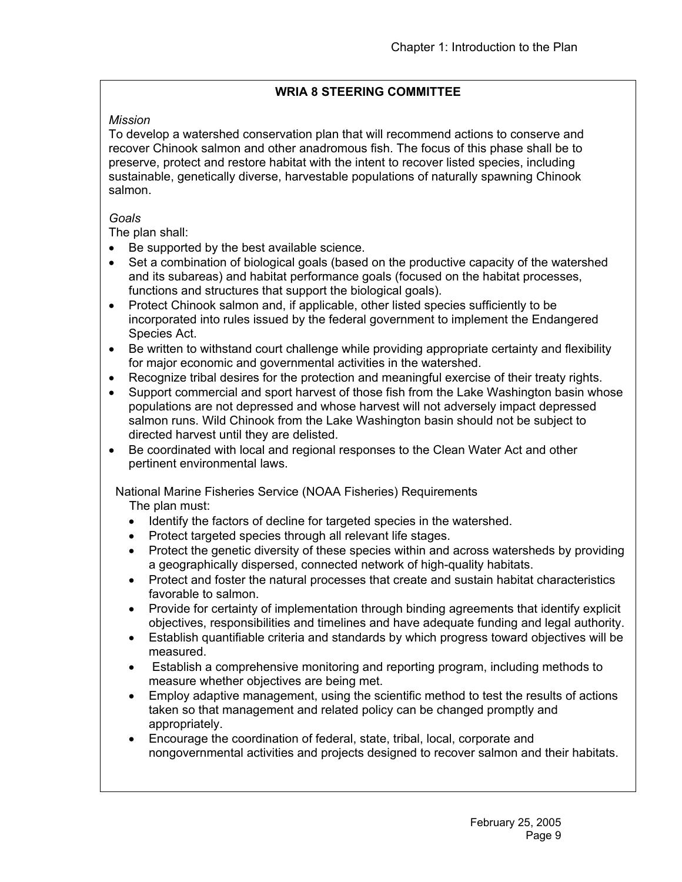# **WRIA 8 STEERING COMMITTEE**

# *Mission*

To develop a watershed conservation plan that will recommend actions to conserve and recover Chinook salmon and other anadromous fish. The focus of this phase shall be to preserve, protect and restore habitat with the intent to recover listed species, including sustainable, genetically diverse, harvestable populations of naturally spawning Chinook salmon.

# *Goals*

The plan shall:

- Be supported by the best available science.
- Set a combination of biological goals (based on the productive capacity of the watershed and its subareas) and habitat performance goals (focused on the habitat processes, functions and structures that support the biological goals).
- Protect Chinook salmon and, if applicable, other listed species sufficiently to be incorporated into rules issued by the federal government to implement the Endangered Species Act.
- Be written to withstand court challenge while providing appropriate certainty and flexibility for major economic and governmental activities in the watershed.
- Recognize tribal desires for the protection and meaningful exercise of their treaty rights.
- Support commercial and sport harvest of those fish from the Lake Washington basin whose populations are not depressed and whose harvest will not adversely impact depressed salmon runs. Wild Chinook from the Lake Washington basin should not be subject to directed harvest until they are delisted.
- Be coordinated with local and regional responses to the Clean Water Act and other pertinent environmental laws.

National Marine Fisheries Service (NOAA Fisheries) Requirements

The plan must:

- Identify the factors of decline for targeted species in the watershed.
- Protect targeted species through all relevant life stages.
- Protect the genetic diversity of these species within and across watersheds by providing a geographically dispersed, connected network of high-quality habitats.
- Protect and foster the natural processes that create and sustain habitat characteristics favorable to salmon.
- Provide for certainty of implementation through binding agreements that identify explicit objectives, responsibilities and timelines and have adequate funding and legal authority.
- Establish quantifiable criteria and standards by which progress toward objectives will be measured.
- Establish a comprehensive monitoring and reporting program, including methods to measure whether objectives are being met.
- Employ adaptive management, using the scientific method to test the results of actions taken so that management and related policy can be changed promptly and appropriately.
- Encourage the coordination of federal, state, tribal, local, corporate and nongovernmental activities and projects designed to recover salmon and their habitats.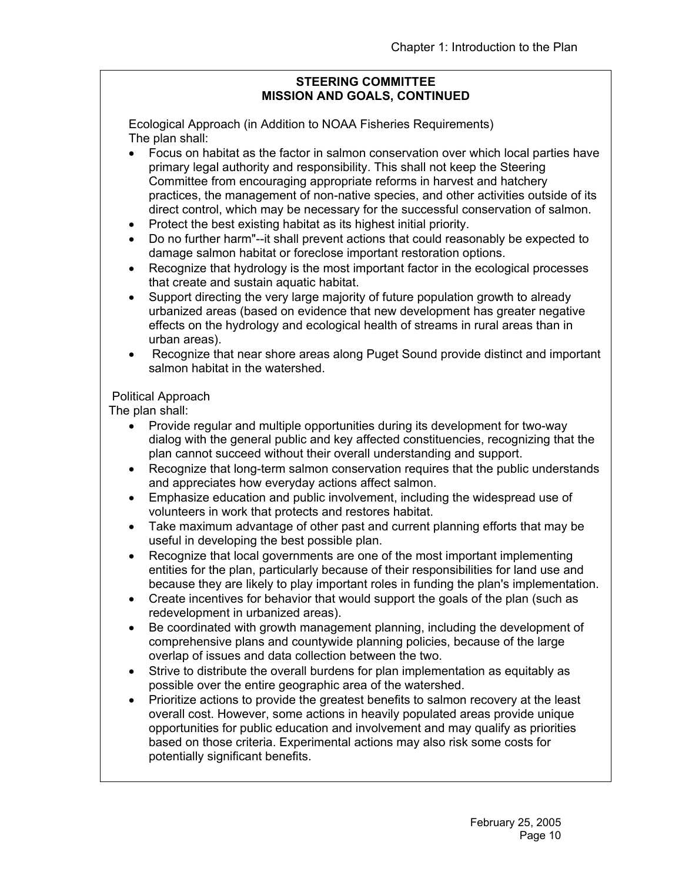## **STEERING COMMITTEE MISSION AND GOALS, CONTINUED**

Ecological Approach (in Addition to NOAA Fisheries Requirements) The plan shall:

- Focus on habitat as the factor in salmon conservation over which local parties have primary legal authority and responsibility. This shall not keep the Steering Committee from encouraging appropriate reforms in harvest and hatchery practices, the management of non-native species, and other activities outside of its direct control, which may be necessary for the successful conservation of salmon.
- Protect the best existing habitat as its highest initial priority.
- Do no further harm"--it shall prevent actions that could reasonably be expected to damage salmon habitat or foreclose important restoration options.
- Recognize that hydrology is the most important factor in the ecological processes that create and sustain aquatic habitat.
- Support directing the very large majority of future population growth to already urbanized areas (based on evidence that new development has greater negative effects on the hydrology and ecological health of streams in rural areas than in urban areas).
- Recognize that near shore areas along Puget Sound provide distinct and important salmon habitat in the watershed.

# Political Approach

The plan shall:

- Provide regular and multiple opportunities during its development for two-way dialog with the general public and key affected constituencies, recognizing that the plan cannot succeed without their overall understanding and support.
- Recognize that long-term salmon conservation requires that the public understands and appreciates how everyday actions affect salmon.
- Emphasize education and public involvement, including the widespread use of volunteers in work that protects and restores habitat.
- Take maximum advantage of other past and current planning efforts that may be useful in developing the best possible plan.
- Recognize that local governments are one of the most important implementing entities for the plan, particularly because of their responsibilities for land use and because they are likely to play important roles in funding the plan's implementation.
- Create incentives for behavior that would support the goals of the plan (such as redevelopment in urbanized areas).
- Be coordinated with growth management planning, including the development of comprehensive plans and countywide planning policies, because of the large overlap of issues and data collection between the two.
- Strive to distribute the overall burdens for plan implementation as equitably as possible over the entire geographic area of the watershed.
- Prioritize actions to provide the greatest benefits to salmon recovery at the least overall cost. However, some actions in heavily populated areas provide unique opportunities for public education and involvement and may qualify as priorities based on those criteria. Experimental actions may also risk some costs for potentially significant benefits.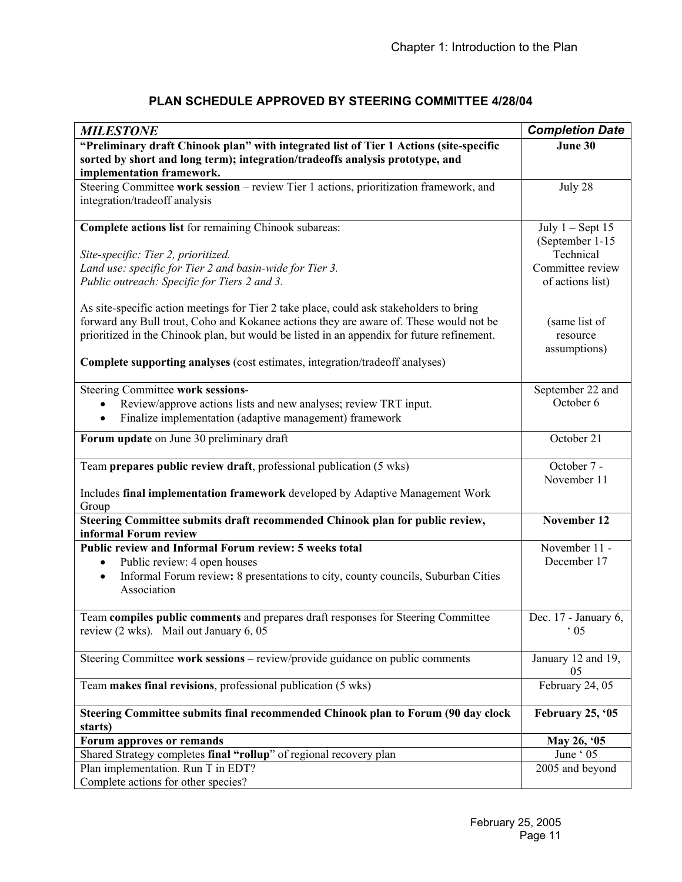| "Preliminary draft Chinook plan" with integrated list of Tier 1 Actions (site-specific<br>June 30<br>sorted by short and long term); integration/tradeoffs analysis prototype, and<br>implementation framework.<br>Steering Committee work session - review Tier 1 actions, prioritization framework, and<br>July 28<br>integration/tradeoff analysis<br>Complete actions list for remaining Chinook subareas:<br>July $1 -$ Sept 15<br>(September 1-15<br>Technical<br>Site-specific: Tier 2, prioritized.<br>Land use: specific for Tier 2 and basin-wide for Tier 3.<br>Committee review<br>Public outreach: Specific for Tiers 2 and 3.<br>of actions list)<br>As site-specific action meetings for Tier 2 take place, could ask stakeholders to bring<br>forward any Bull trout, Coho and Kokanee actions they are aware of. These would not be<br>(same list of<br>prioritized in the Chinook plan, but would be listed in an appendix for future refinement.<br>resource<br>assumptions)<br><b>Complete supporting analyses</b> (cost estimates, integration/tradeoff analyses)<br>Steering Committee work sessions-<br>September 22 and<br>October 6<br>Review/approve actions lists and new analyses; review TRT input.<br>Finalize implementation (adaptive management) framework<br>$\bullet$ |
|----------------------------------------------------------------------------------------------------------------------------------------------------------------------------------------------------------------------------------------------------------------------------------------------------------------------------------------------------------------------------------------------------------------------------------------------------------------------------------------------------------------------------------------------------------------------------------------------------------------------------------------------------------------------------------------------------------------------------------------------------------------------------------------------------------------------------------------------------------------------------------------------------------------------------------------------------------------------------------------------------------------------------------------------------------------------------------------------------------------------------------------------------------------------------------------------------------------------------------------------------------------------------------------------------------|
|                                                                                                                                                                                                                                                                                                                                                                                                                                                                                                                                                                                                                                                                                                                                                                                                                                                                                                                                                                                                                                                                                                                                                                                                                                                                                                          |
|                                                                                                                                                                                                                                                                                                                                                                                                                                                                                                                                                                                                                                                                                                                                                                                                                                                                                                                                                                                                                                                                                                                                                                                                                                                                                                          |
|                                                                                                                                                                                                                                                                                                                                                                                                                                                                                                                                                                                                                                                                                                                                                                                                                                                                                                                                                                                                                                                                                                                                                                                                                                                                                                          |
|                                                                                                                                                                                                                                                                                                                                                                                                                                                                                                                                                                                                                                                                                                                                                                                                                                                                                                                                                                                                                                                                                                                                                                                                                                                                                                          |
|                                                                                                                                                                                                                                                                                                                                                                                                                                                                                                                                                                                                                                                                                                                                                                                                                                                                                                                                                                                                                                                                                                                                                                                                                                                                                                          |
|                                                                                                                                                                                                                                                                                                                                                                                                                                                                                                                                                                                                                                                                                                                                                                                                                                                                                                                                                                                                                                                                                                                                                                                                                                                                                                          |
|                                                                                                                                                                                                                                                                                                                                                                                                                                                                                                                                                                                                                                                                                                                                                                                                                                                                                                                                                                                                                                                                                                                                                                                                                                                                                                          |
|                                                                                                                                                                                                                                                                                                                                                                                                                                                                                                                                                                                                                                                                                                                                                                                                                                                                                                                                                                                                                                                                                                                                                                                                                                                                                                          |
|                                                                                                                                                                                                                                                                                                                                                                                                                                                                                                                                                                                                                                                                                                                                                                                                                                                                                                                                                                                                                                                                                                                                                                                                                                                                                                          |
|                                                                                                                                                                                                                                                                                                                                                                                                                                                                                                                                                                                                                                                                                                                                                                                                                                                                                                                                                                                                                                                                                                                                                                                                                                                                                                          |
|                                                                                                                                                                                                                                                                                                                                                                                                                                                                                                                                                                                                                                                                                                                                                                                                                                                                                                                                                                                                                                                                                                                                                                                                                                                                                                          |
|                                                                                                                                                                                                                                                                                                                                                                                                                                                                                                                                                                                                                                                                                                                                                                                                                                                                                                                                                                                                                                                                                                                                                                                                                                                                                                          |
|                                                                                                                                                                                                                                                                                                                                                                                                                                                                                                                                                                                                                                                                                                                                                                                                                                                                                                                                                                                                                                                                                                                                                                                                                                                                                                          |
|                                                                                                                                                                                                                                                                                                                                                                                                                                                                                                                                                                                                                                                                                                                                                                                                                                                                                                                                                                                                                                                                                                                                                                                                                                                                                                          |
|                                                                                                                                                                                                                                                                                                                                                                                                                                                                                                                                                                                                                                                                                                                                                                                                                                                                                                                                                                                                                                                                                                                                                                                                                                                                                                          |
|                                                                                                                                                                                                                                                                                                                                                                                                                                                                                                                                                                                                                                                                                                                                                                                                                                                                                                                                                                                                                                                                                                                                                                                                                                                                                                          |
|                                                                                                                                                                                                                                                                                                                                                                                                                                                                                                                                                                                                                                                                                                                                                                                                                                                                                                                                                                                                                                                                                                                                                                                                                                                                                                          |
|                                                                                                                                                                                                                                                                                                                                                                                                                                                                                                                                                                                                                                                                                                                                                                                                                                                                                                                                                                                                                                                                                                                                                                                                                                                                                                          |
| Forum update on June 30 preliminary draft<br>October 21                                                                                                                                                                                                                                                                                                                                                                                                                                                                                                                                                                                                                                                                                                                                                                                                                                                                                                                                                                                                                                                                                                                                                                                                                                                  |
|                                                                                                                                                                                                                                                                                                                                                                                                                                                                                                                                                                                                                                                                                                                                                                                                                                                                                                                                                                                                                                                                                                                                                                                                                                                                                                          |
| Team prepares public review draft, professional publication (5 wks)<br>October 7 -                                                                                                                                                                                                                                                                                                                                                                                                                                                                                                                                                                                                                                                                                                                                                                                                                                                                                                                                                                                                                                                                                                                                                                                                                       |
| November 11                                                                                                                                                                                                                                                                                                                                                                                                                                                                                                                                                                                                                                                                                                                                                                                                                                                                                                                                                                                                                                                                                                                                                                                                                                                                                              |
| Includes final implementation framework developed by Adaptive Management Work<br>Group                                                                                                                                                                                                                                                                                                                                                                                                                                                                                                                                                                                                                                                                                                                                                                                                                                                                                                                                                                                                                                                                                                                                                                                                                   |
| Steering Committee submits draft recommended Chinook plan for public review,<br>November 12<br>informal Forum review                                                                                                                                                                                                                                                                                                                                                                                                                                                                                                                                                                                                                                                                                                                                                                                                                                                                                                                                                                                                                                                                                                                                                                                     |
| Public review and Informal Forum review: 5 weeks total<br>November 11 -                                                                                                                                                                                                                                                                                                                                                                                                                                                                                                                                                                                                                                                                                                                                                                                                                                                                                                                                                                                                                                                                                                                                                                                                                                  |
| December 17<br>Public review: 4 open houses<br>$\bullet$                                                                                                                                                                                                                                                                                                                                                                                                                                                                                                                                                                                                                                                                                                                                                                                                                                                                                                                                                                                                                                                                                                                                                                                                                                                 |
| Informal Forum review: 8 presentations to city, county councils, Suburban Cities<br>$\bullet$                                                                                                                                                                                                                                                                                                                                                                                                                                                                                                                                                                                                                                                                                                                                                                                                                                                                                                                                                                                                                                                                                                                                                                                                            |
| Association                                                                                                                                                                                                                                                                                                                                                                                                                                                                                                                                                                                                                                                                                                                                                                                                                                                                                                                                                                                                                                                                                                                                                                                                                                                                                              |
| Team compiles public comments and prepares draft responses for Steering Committee<br>Dec. 17 - January 6,                                                                                                                                                                                                                                                                                                                                                                                                                                                                                                                                                                                                                                                                                                                                                                                                                                                                                                                                                                                                                                                                                                                                                                                                |
| review (2 wks). Mail out January 6, 05<br>$\cdot$ 05                                                                                                                                                                                                                                                                                                                                                                                                                                                                                                                                                                                                                                                                                                                                                                                                                                                                                                                                                                                                                                                                                                                                                                                                                                                     |
|                                                                                                                                                                                                                                                                                                                                                                                                                                                                                                                                                                                                                                                                                                                                                                                                                                                                                                                                                                                                                                                                                                                                                                                                                                                                                                          |
| Steering Committee work sessions - review/provide guidance on public comments<br>January 12 and 19,<br>05                                                                                                                                                                                                                                                                                                                                                                                                                                                                                                                                                                                                                                                                                                                                                                                                                                                                                                                                                                                                                                                                                                                                                                                                |
| February 24, 05<br>Team makes final revisions, professional publication (5 wks)                                                                                                                                                                                                                                                                                                                                                                                                                                                                                                                                                                                                                                                                                                                                                                                                                                                                                                                                                                                                                                                                                                                                                                                                                          |
| Steering Committee submits final recommended Chinook plan to Forum (90 day clock<br>February 25, '05                                                                                                                                                                                                                                                                                                                                                                                                                                                                                                                                                                                                                                                                                                                                                                                                                                                                                                                                                                                                                                                                                                                                                                                                     |
| starts)                                                                                                                                                                                                                                                                                                                                                                                                                                                                                                                                                                                                                                                                                                                                                                                                                                                                                                                                                                                                                                                                                                                                                                                                                                                                                                  |
| Forum approves or remands<br>May 26, '05                                                                                                                                                                                                                                                                                                                                                                                                                                                                                                                                                                                                                                                                                                                                                                                                                                                                                                                                                                                                                                                                                                                                                                                                                                                                 |
| Shared Strategy completes final "rollup" of regional recovery plan<br>$\overline{J}$ une ' 05                                                                                                                                                                                                                                                                                                                                                                                                                                                                                                                                                                                                                                                                                                                                                                                                                                                                                                                                                                                                                                                                                                                                                                                                            |
| Plan implementation. Run T in EDT?<br>2005 and beyond<br>Complete actions for other species?                                                                                                                                                                                                                                                                                                                                                                                                                                                                                                                                                                                                                                                                                                                                                                                                                                                                                                                                                                                                                                                                                                                                                                                                             |

# **PLAN SCHEDULE APPROVED BY STEERING COMMITTEE 4/28/04**